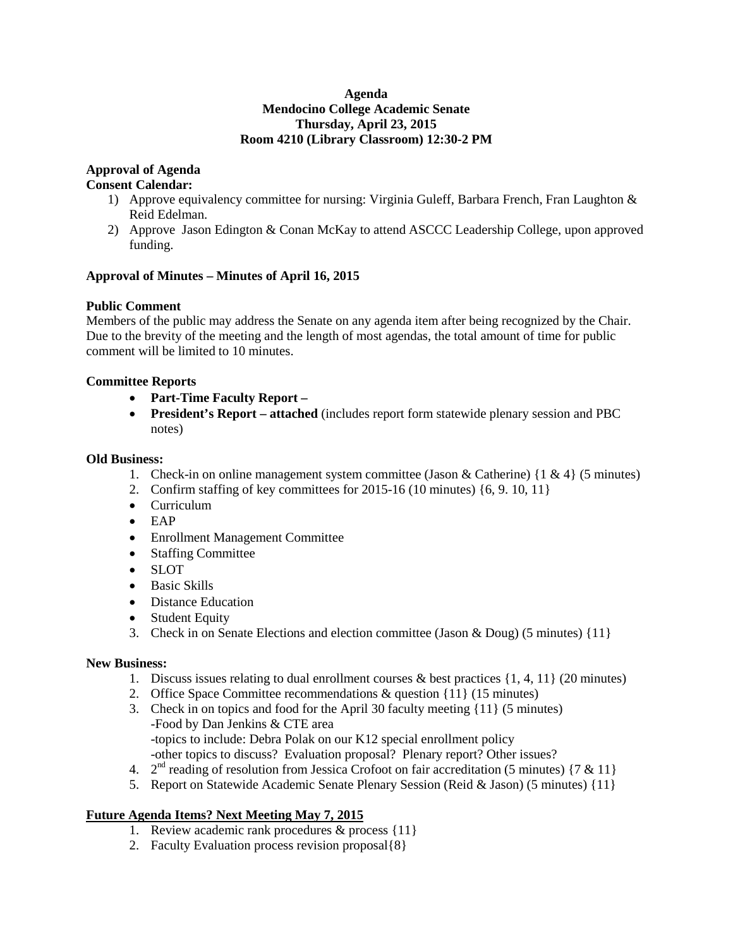#### **Agenda Mendocino College Academic Senate Thursday, April 23, 2015 Room 4210 (Library Classroom) 12:30-2 PM**

#### **Approval of Agenda**

#### **Consent Calendar:**

- 1) Approve equivalency committee for nursing: Virginia Guleff, Barbara French, Fran Laughton  $\&$ Reid Edelman.
- 2) Approve Jason Edington & Conan McKay to attend ASCCC Leadership College, upon approved funding.

#### **Approval of Minutes – Minutes of April 16, 2015**

#### **Public Comment**

Members of the public may address the Senate on any agenda item after being recognized by the Chair. Due to the brevity of the meeting and the length of most agendas, the total amount of time for public comment will be limited to 10 minutes.

#### **Committee Reports**

- **Part-Time Faculty Report –**
- **President's Report – attached** (includes report form statewide plenary session and PBC notes)

#### **Old Business:**

- 1. Check-in on online management system committee (Jason & Catherine)  $\{1 \& 4\}$  (5 minutes)
- 2. Confirm staffing of key committees for 2015-16 (10 minutes) {6, 9. 10, 11}
- Curriculum
- EAP
- Enrollment Management Committee
- Staffing Committee
- SLOT
- Basic Skills
- Distance Education
- Student Equity
- 3. Check in on Senate Elections and election committee (Jason & Doug) (5 minutes) {11}

#### **New Business:**

- 1. Discuss issues relating to dual enrollment courses & best practices  $\{1, 4, 11\}$  (20 minutes)
- 2. Office Space Committee recommendations & question {11} (15 minutes)
- 3. Check in on topics and food for the April 30 faculty meeting {11} (5 minutes) -Food by Dan Jenkins & CTE area -topics to include: Debra Polak on our K12 special enrollment policy -other topics to discuss? Evaluation proposal? Plenary report? Other issues?
- 4.  $2<sup>nd</sup>$  reading of resolution from Jessica Crofoot on fair accreditation (5 minutes) {7 & 11}
- 5. Report on Statewide Academic Senate Plenary Session (Reid & Jason) (5 minutes) {11}

#### **Future Agenda Items? Next Meeting May 7, 2015**

- 1. Review academic rank procedures & process {11}
- 2. Faculty Evaluation process revision proposal{8}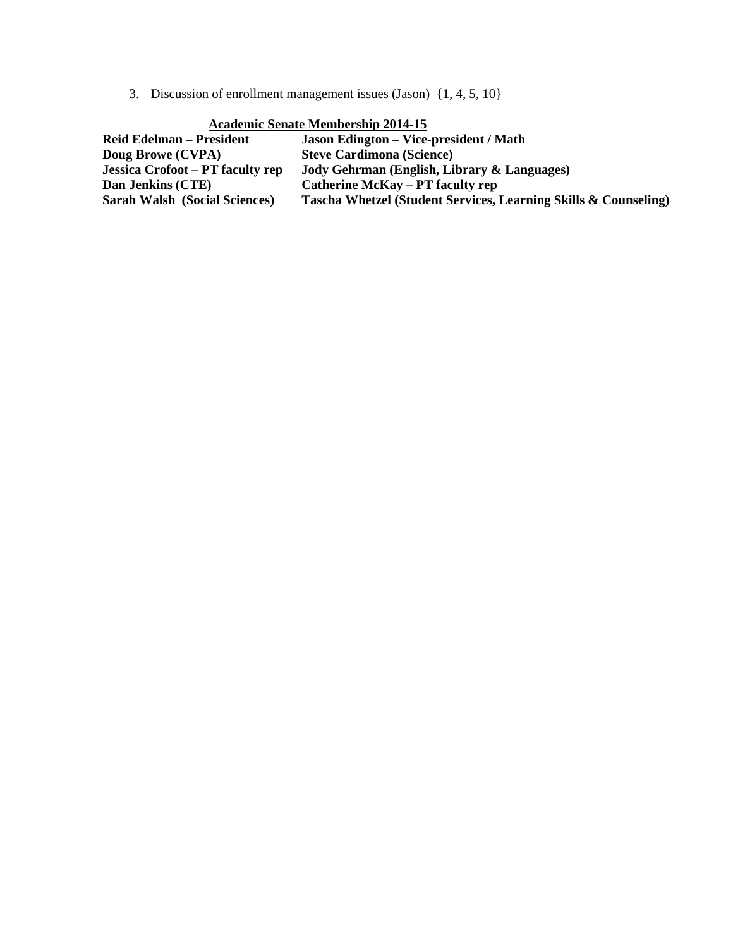3. Discussion of enrollment management issues (Jason) {1, 4, 5, 10}

| $A$ Cauchne Benate Membership $201 - 15$ |                                                                 |  |  |  |
|------------------------------------------|-----------------------------------------------------------------|--|--|--|
| <b>Reid Edelman – President</b>          | <b>Jason Edington – Vice-president / Math</b>                   |  |  |  |
| Doug Browe (CVPA)                        | <b>Steve Cardimona (Science)</b>                                |  |  |  |
| Jessica Crofoot – PT faculty rep         | Jody Gehrman (English, Library & Languages)                     |  |  |  |
| Dan Jenkins (CTE)                        | <b>Catherine McKay – PT faculty rep</b>                         |  |  |  |
| <b>Sarah Walsh (Social Sciences)</b>     | Tascha Whetzel (Student Services, Learning Skills & Counseling) |  |  |  |

#### **Academic Senate Membership 2014-15**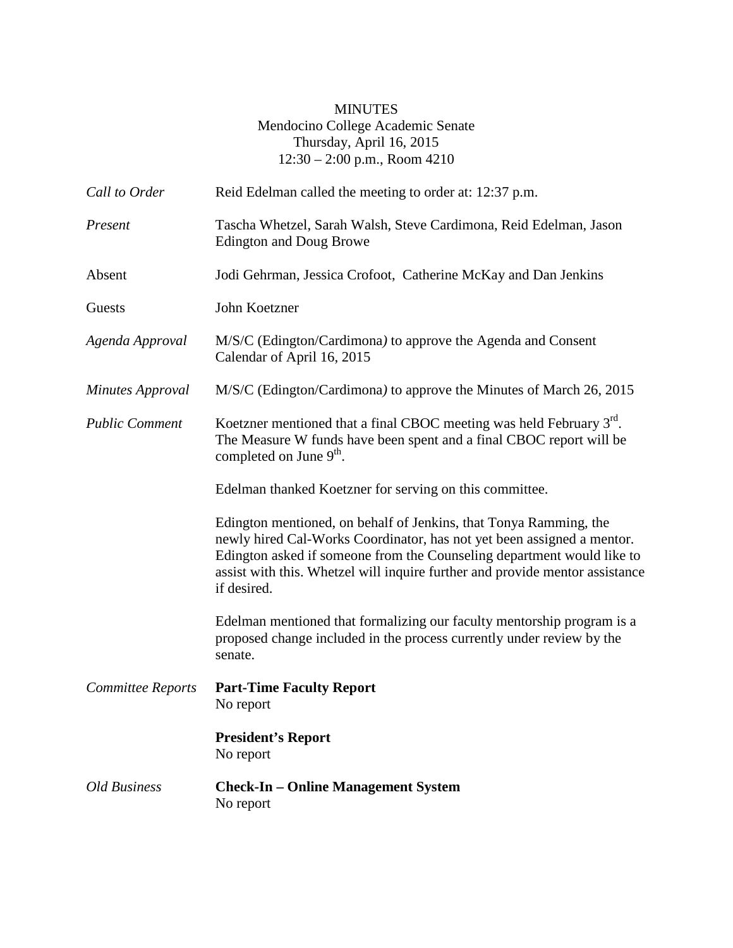#### MINUTES Mendocino College Academic Senate Thursday, April 16, 2015 12:30 – 2:00 p.m., Room 4210

| Call to Order            | Reid Edelman called the meeting to order at: 12:37 p.m.                                                                                                                                                                                                                                                              |  |  |  |
|--------------------------|----------------------------------------------------------------------------------------------------------------------------------------------------------------------------------------------------------------------------------------------------------------------------------------------------------------------|--|--|--|
| Present                  | Tascha Whetzel, Sarah Walsh, Steve Cardimona, Reid Edelman, Jason<br><b>Edington and Doug Browe</b>                                                                                                                                                                                                                  |  |  |  |
| Absent                   | Jodi Gehrman, Jessica Crofoot, Catherine McKay and Dan Jenkins                                                                                                                                                                                                                                                       |  |  |  |
| Guests                   | John Koetzner                                                                                                                                                                                                                                                                                                        |  |  |  |
| Agenda Approval          | M/S/C (Edington/Cardimona) to approve the Agenda and Consent<br>Calendar of April 16, 2015                                                                                                                                                                                                                           |  |  |  |
| <b>Minutes Approval</b>  | M/S/C (Edington/Cardimona) to approve the Minutes of March 26, 2015                                                                                                                                                                                                                                                  |  |  |  |
| <b>Public Comment</b>    | Koetzner mentioned that a final CBOC meeting was held February $3rd$ .<br>The Measure W funds have been spent and a final CBOC report will be<br>completed on June 9 <sup>th</sup> .                                                                                                                                 |  |  |  |
|                          | Edelman thanked Koetzner for serving on this committee.                                                                                                                                                                                                                                                              |  |  |  |
|                          | Edington mentioned, on behalf of Jenkins, that Tonya Ramming, the<br>newly hired Cal-Works Coordinator, has not yet been assigned a mentor.<br>Edington asked if someone from the Counseling department would like to<br>assist with this. Whetzel will inquire further and provide mentor assistance<br>if desired. |  |  |  |
|                          | Edelman mentioned that formalizing our faculty mentorship program is a<br>proposed change included in the process currently under review by the<br>senate.                                                                                                                                                           |  |  |  |
| <b>Committee Reports</b> | <b>Part-Time Faculty Report</b><br>No report                                                                                                                                                                                                                                                                         |  |  |  |
|                          | <b>President's Report</b><br>No report                                                                                                                                                                                                                                                                               |  |  |  |
| <b>Old Business</b>      | <b>Check-In – Online Management System</b><br>No report                                                                                                                                                                                                                                                              |  |  |  |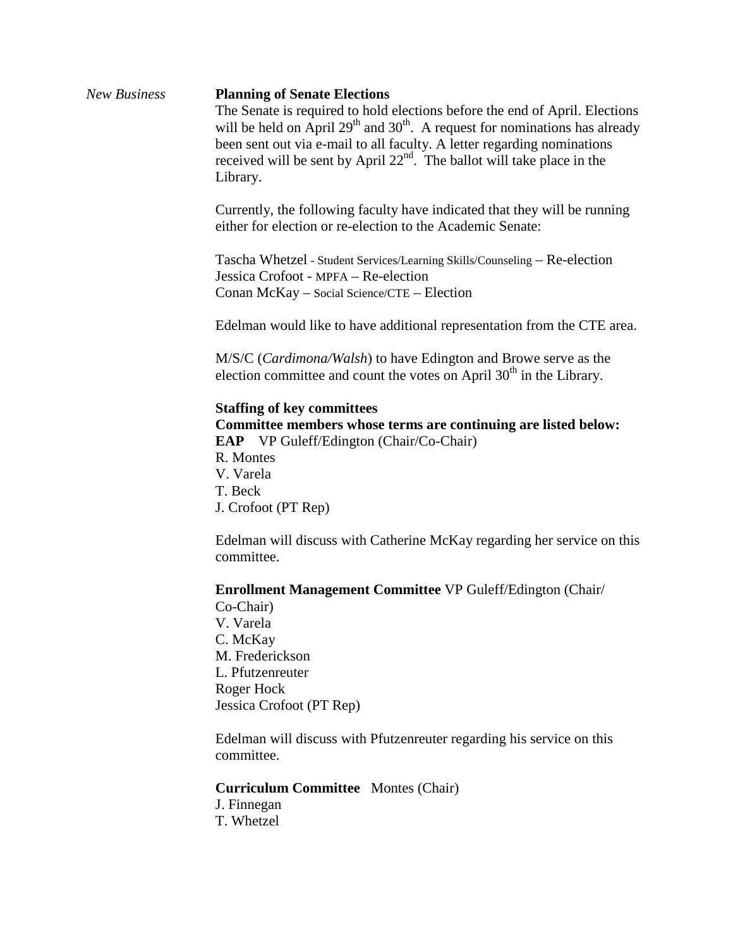### *New Business* **Planning of Senate Elections** The Senate is required to hold elections before the end of April. Elections will be held on April  $29<sup>th</sup>$  and  $30<sup>th</sup>$ . A request for nominations has already been sent out via e-mail to all faculty. A letter regarding nominations received will be sent by April  $22<sup>nd</sup>$ . The ballot will take place in the Library. Currently, the following faculty have indicated that they will be running either for election or re-election to the Academic Senate: Tascha Whetzel - Student Services/Learning Skills/Counseling – Re-election Jessica Crofoot - MPFA – Re-election Conan McKay – Social Science/CTE – Election Edelman would like to have additional representation from the CTE area. M/S/C (*Cardimona/Walsh*) to have Edington and Browe serve as the election committee and count the votes on April  $30<sup>th</sup>$  in the Library. **Staffing of key committees Committee members whose terms are continuing are listed below: EAP** VP Guleff/Edington (Chair/Co-Chair) R. Montes V. Varela T. Beck J. Crofoot (PT Rep) Edelman will discuss with Catherine McKay regarding her service on this committee. **Enrollment Management Committee** VP Guleff/Edington (Chair/ Co-Chair) V. Varela C. McKay M. Frederickson L. Pfutzenreuter Roger Hock Jessica Crofoot (PT Rep) Edelman will discuss with Pfutzenreuter regarding his service on this committee.

**Curriculum Committee** Montes (Chair)

J. Finnegan T. Whetzel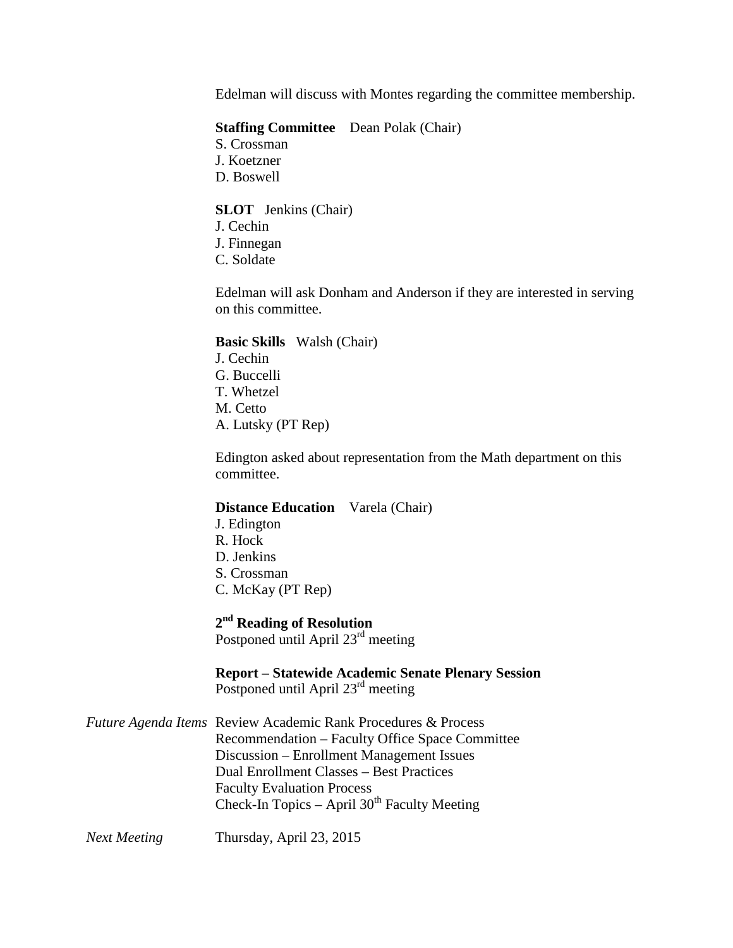Edelman will discuss with Montes regarding the committee membership.

#### **Staffing Committee** Dean Polak (Chair)

- S. Crossman
- J. Koetzner
- D. Boswell

#### **SLOT** Jenkins (Chair)

- J. Cechin
- J. Finnegan
- C. Soldate

Edelman will ask Donham and Anderson if they are interested in serving on this committee.

#### **Basic Skills** Walsh (Chair)

J. Cechin G. Buccelli T. Whetzel M. Cetto A. Lutsky (PT Rep)

Edington asked about representation from the Math department on this committee.

#### **Distance Education** Varela (Chair)

J. Edington R. Hock D. Jenkins S. Crossman C. McKay (PT Rep)

### **2nd Reading of Resolution**

Postponed until April 23<sup>rd</sup> meeting

**Report – Statewide Academic Senate Plenary Session** Postponed until April 23<sup>rd</sup> meeting

| <b>Future Agenda Items Review Academic Rank Procedures &amp; Process</b> |  |  |
|--------------------------------------------------------------------------|--|--|
| Recommendation – Faculty Office Space Committee                          |  |  |
| Discussion – Enrollment Management Issues                                |  |  |
| Dual Enrollment Classes – Best Practices                                 |  |  |
| <b>Faculty Evaluation Process</b>                                        |  |  |
| Check-In Topics – April $30th$ Faculty Meeting                           |  |  |

*Next Meeting* Thursday, April 23, 2015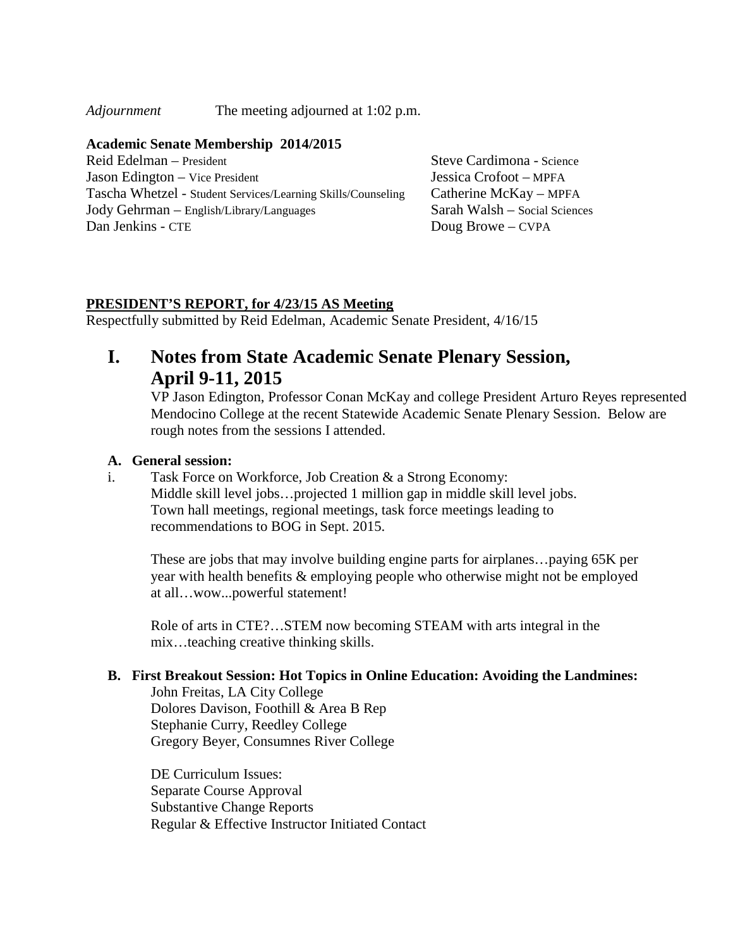*Adjournment* The meeting adjourned at 1:02 p.m.

#### **Academic Senate Membership 2014/2015**

Reid Edelman – President Steve Cardimona - Science Jason Edington – Vice President Jessica Crofoot – MPFA Tascha Whetzel - Student Services/Learning Skills/Counseling Catherine McKay – MPFA Jody Gehrman – English/Library/Languages Sarah Walsh – Social Sciences Dan Jenkins - CTE Doug Browe – CVPA

#### **PRESIDENT'S REPORT, for 4/23/15 AS Meeting**

Respectfully submitted by Reid Edelman, Academic Senate President, 4/16/15

## **I. Notes from State Academic Senate Plenary Session, April 9-11, 2015**

VP Jason Edington, Professor Conan McKay and college President Arturo Reyes represented Mendocino College at the recent Statewide Academic Senate Plenary Session. Below are rough notes from the sessions I attended.

#### **A. General session:**

i. Task Force on Workforce, Job Creation & a Strong Economy: Middle skill level jobs…projected 1 million gap in middle skill level jobs. Town hall meetings, regional meetings, task force meetings leading to recommendations to BOG in Sept. 2015.

These are jobs that may involve building engine parts for airplanes…paying 65K per year with health benefits & employing people who otherwise might not be employed at all…wow...powerful statement!

Role of arts in CTE?…STEM now becoming STEAM with arts integral in the mix…teaching creative thinking skills.

#### **B. First Breakout Session: Hot Topics in Online Education: Avoiding the Landmines:**

John Freitas, LA City College Dolores Davison, Foothill & Area B Rep Stephanie Curry, Reedley College Gregory Beyer, Consumnes River College

DE Curriculum Issues: Separate Course Approval Substantive Change Reports Regular & Effective Instructor Initiated Contact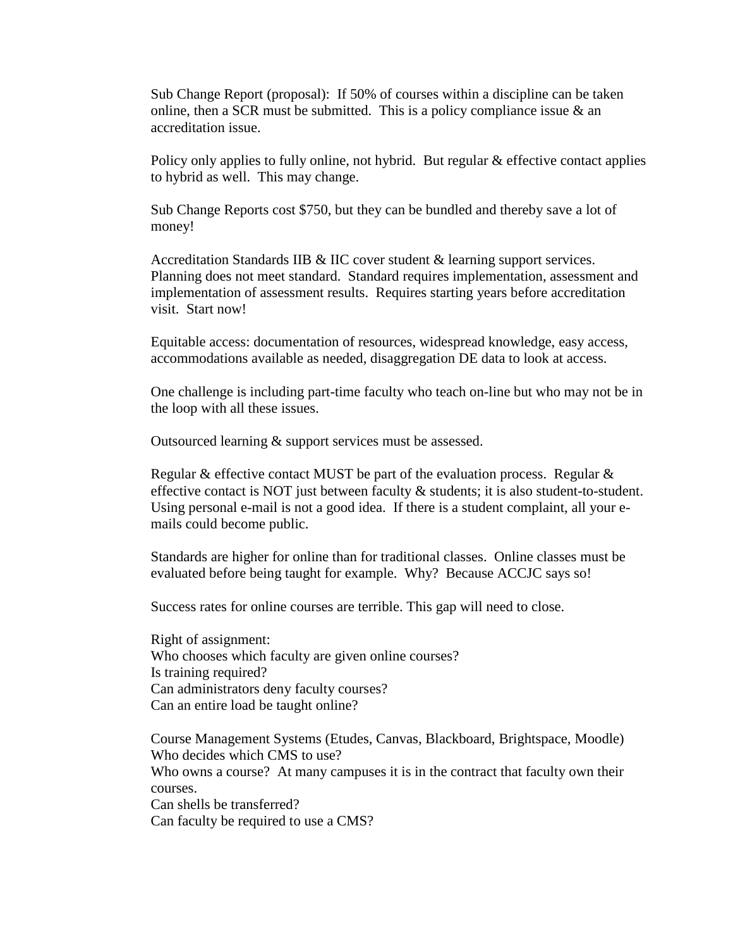Sub Change Report (proposal): If 50% of courses within a discipline can be taken online, then a SCR must be submitted. This is a policy compliance issue  $\&$  an accreditation issue.

Policy only applies to fully online, not hybrid. But regular & effective contact applies to hybrid as well. This may change.

Sub Change Reports cost \$750, but they can be bundled and thereby save a lot of money!

Accreditation Standards IIB & IIC cover student & learning support services. Planning does not meet standard. Standard requires implementation, assessment and implementation of assessment results. Requires starting years before accreditation visit. Start now!

Equitable access: documentation of resources, widespread knowledge, easy access, accommodations available as needed, disaggregation DE data to look at access.

One challenge is including part-time faculty who teach on-line but who may not be in the loop with all these issues.

Outsourced learning & support services must be assessed.

Regular & effective contact MUST be part of the evaluation process. Regular  $\&$ effective contact is NOT just between faculty & students; it is also student-to-student. Using personal e-mail is not a good idea. If there is a student complaint, all your emails could become public.

Standards are higher for online than for traditional classes. Online classes must be evaluated before being taught for example. Why? Because ACCJC says so!

Success rates for online courses are terrible. This gap will need to close.

Right of assignment: Who chooses which faculty are given online courses? Is training required? Can administrators deny faculty courses? Can an entire load be taught online?

Course Management Systems (Etudes, Canvas, Blackboard, Brightspace, Moodle) Who decides which CMS to use?

Who owns a course? At many campuses it is in the contract that faculty own their courses.

Can shells be transferred? Can faculty be required to use a CMS?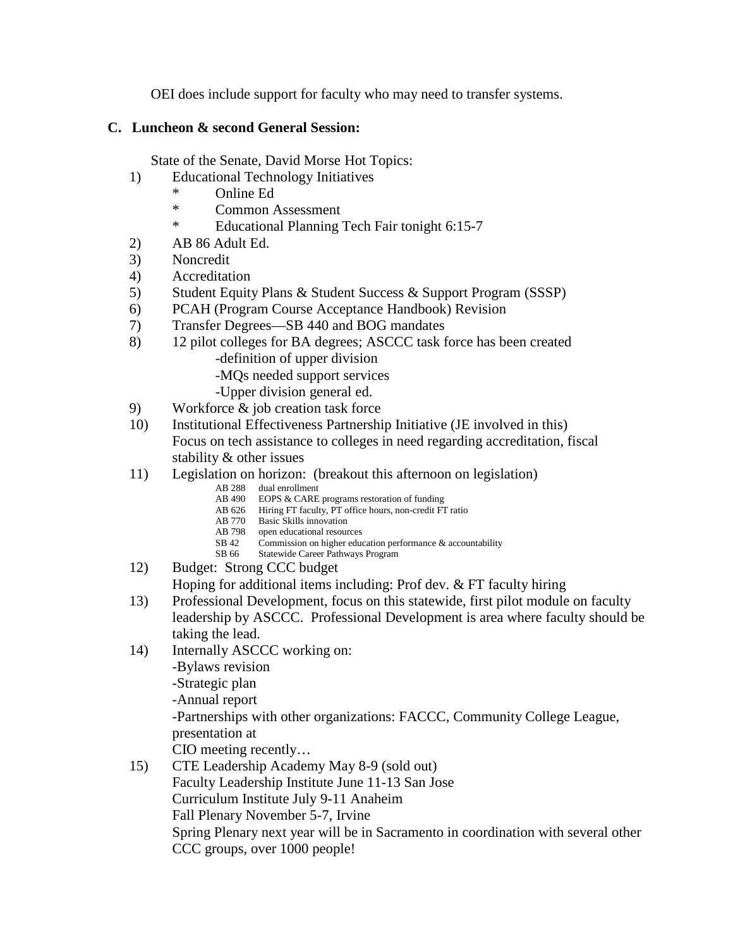OEI does include support for faculty who may need to transfer systems.

#### **C. Luncheon & second General Session:**

State of the Senate, David Morse Hot Topics:

- 1) Educational Technology Initiatives
	- \* Online Ed
	- \* Common Assessment
	- \* Educational Planning Tech Fair tonight 6:15-7
- 2) AB 86 Adult Ed.
- 3) Noncredit
- 4) Accreditation
- 5) Student Equity Plans & Student Success & Support Program (SSSP)
- 6) PCAH (Program Course Acceptance Handbook) Revision
- 7) Transfer Degrees—SB 440 and BOG mandates
- 8) 12 pilot colleges for BA degrees; ASCCC task force has been created -definition of upper division
	- -MQs needed support services
	- -Upper division general ed.
- 9) Workforce & job creation task force
- 10) Institutional Effectiveness Partnership Initiative (JE involved in this) Focus on tech assistance to colleges in need regarding accreditation, fiscal stability & other issues
- 11) Legislation on horizon: (breakout this afternoon on legislation)
	- AB 288 dual enrollment<br>AB 490 EOPS  $\&$  CARE
	- EOPS & CARE programs restoration of funding
	- AB 626 Hiring FT faculty, PT office hours, non-credit FT ratio
	- AB 770 Basic Skills innovation
	- AB 798 open educational resources<br>SB 42 Commission on higher educ SB 42 Commission on higher education performance  $&$  accountability SB 66 Statewide Career Pathways Program
	- Statewide Career Pathways Program
- 12) Budget: Strong CCC budget

Hoping for additional items including: Prof dev. & FT faculty hiring

- 13) Professional Development, focus on this statewide, first pilot module on faculty leadership by ASCCC. Professional Development is area where faculty should be taking the lead.
- 14) Internally ASCCC working on:

-Bylaws revision

-Strategic plan

-Annual report

-Partnerships with other organizations: FACCC, Community College League, presentation at

CIO meeting recently…

15) CTE Leadership Academy May 8-9 (sold out) Faculty Leadership Institute June 11-13 San Jose Curriculum Institute July 9-11 Anaheim Fall Plenary November 5-7, Irvine Spring Plenary next year will be in Sacramento in coordination with several other CCC groups, over 1000 people!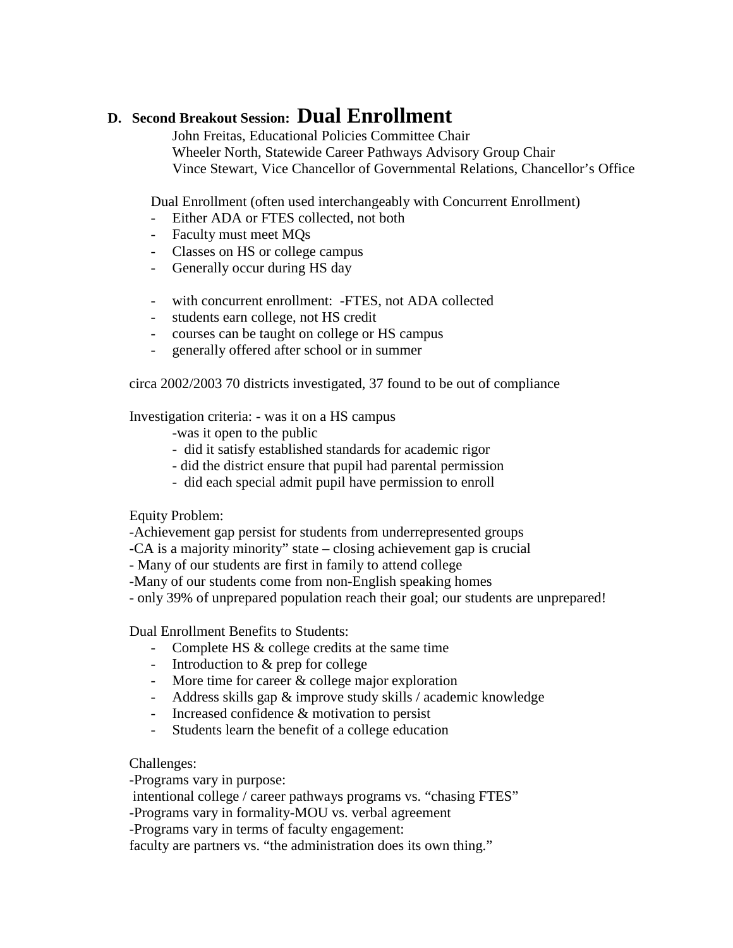## **D. Second Breakout Session: Dual Enrollment**

John Freitas, Educational Policies Committee Chair Wheeler North, Statewide Career Pathways Advisory Group Chair Vince Stewart, Vice Chancellor of Governmental Relations, Chancellor's Office

Dual Enrollment (often used interchangeably with Concurrent Enrollment)

- Either ADA or FTES collected, not both
- Faculty must meet MQs
- Classes on HS or college campus
- Generally occur during HS day
- with concurrent enrollment: -FTES, not ADA collected
- students earn college, not HS credit
- courses can be taught on college or HS campus
- generally offered after school or in summer

circa 2002/2003 70 districts investigated, 37 found to be out of compliance

Investigation criteria: - was it on a HS campus

- -was it open to the public
- did it satisfy established standards for academic rigor
- did the district ensure that pupil had parental permission
- did each special admit pupil have permission to enroll

Equity Problem:

-Achievement gap persist for students from underrepresented groups

-CA is a majority minority" state – closing achievement gap is crucial

- Many of our students are first in family to attend college
- -Many of our students come from non-English speaking homes
- only 39% of unprepared population reach their goal; our students are unprepared!

Dual Enrollment Benefits to Students:

- Complete HS & college credits at the same time
- Introduction to & prep for college
- More time for career & college major exploration
- Address skills gap & improve study skills / academic knowledge
- Increased confidence & motivation to persist
- Students learn the benefit of a college education

Challenges:

-Programs vary in purpose:

intentional college / career pathways programs vs. "chasing FTES"

-Programs vary in formality-MOU vs. verbal agreement

-Programs vary in terms of faculty engagement:

faculty are partners vs. "the administration does its own thing."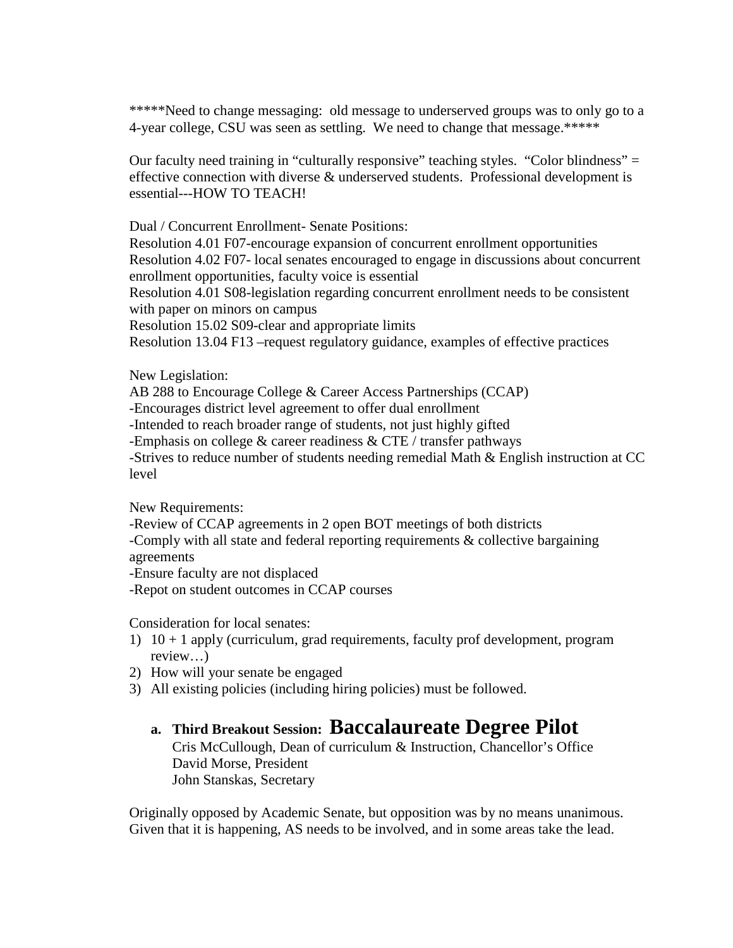\*\*\*\*\*Need to change messaging: old message to underserved groups was to only go to a 4-year college, CSU was seen as settling. We need to change that message.\*\*\*\*\*

Our faculty need training in "culturally responsive" teaching styles. "Color blindness" = effective connection with diverse & underserved students. Professional development is essential---HOW TO TEACH!

Dual / Concurrent Enrollment- Senate Positions:

Resolution 4.01 F07-encourage expansion of concurrent enrollment opportunities Resolution 4.02 F07- local senates encouraged to engage in discussions about concurrent enrollment opportunities, faculty voice is essential

Resolution 4.01 S08-legislation regarding concurrent enrollment needs to be consistent with paper on minors on campus

Resolution 15.02 S09-clear and appropriate limits

Resolution 13.04 F13 –request regulatory guidance, examples of effective practices

New Legislation:

AB 288 to Encourage College & Career Access Partnerships (CCAP)

-Encourages district level agreement to offer dual enrollment

-Intended to reach broader range of students, not just highly gifted

-Emphasis on college  $&$  career readiness  $&$  CTE / transfer pathways

-Strives to reduce number of students needing remedial Math & English instruction at CC level

New Requirements:

-Review of CCAP agreements in 2 open BOT meetings of both districts

-Comply with all state and federal reporting requirements & collective bargaining agreements

-Ensure faculty are not displaced

-Repot on student outcomes in CCAP courses

Consideration for local senates:

- 1)  $10 + 1$  apply (curriculum, grad requirements, faculty prof development, program review…)
- 2) How will your senate be engaged
- 3) All existing policies (including hiring policies) must be followed.

### **a. Third Breakout Session: Baccalaureate Degree Pilot**

Cris McCullough, Dean of curriculum & Instruction, Chancellor's Office David Morse, President John Stanskas, Secretary

Originally opposed by Academic Senate, but opposition was by no means unanimous. Given that it is happening, AS needs to be involved, and in some areas take the lead.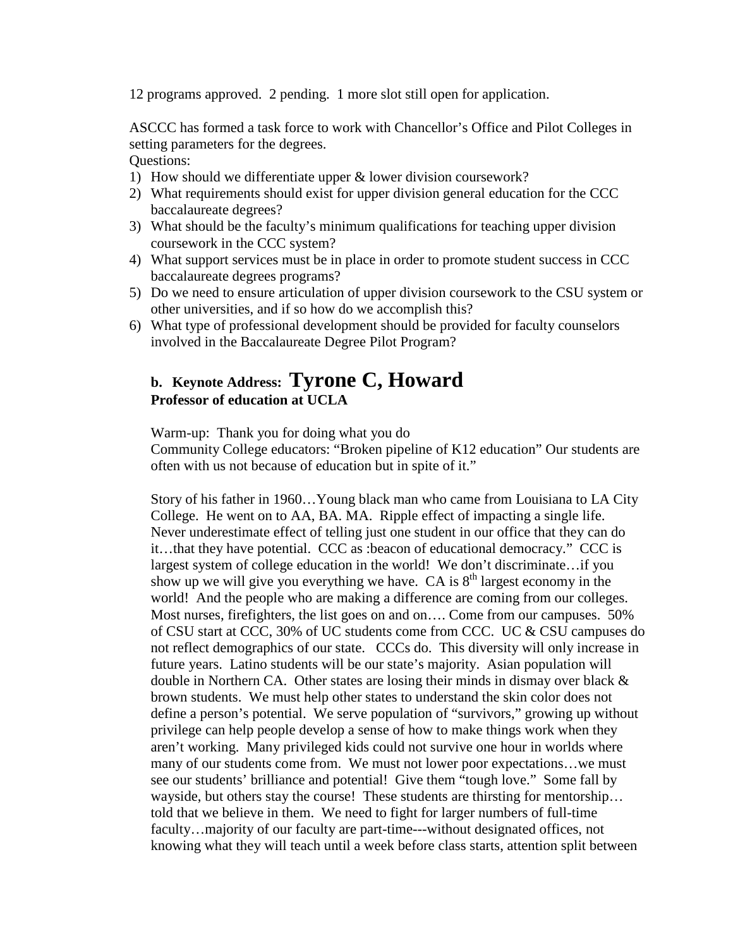12 programs approved. 2 pending. 1 more slot still open for application.

ASCCC has formed a task force to work with Chancellor's Office and Pilot Colleges in setting parameters for the degrees.

Questions:

- 1) How should we differentiate upper & lower division coursework?
- 2) What requirements should exist for upper division general education for the CCC baccalaureate degrees?
- 3) What should be the faculty's minimum qualifications for teaching upper division coursework in the CCC system?
- 4) What support services must be in place in order to promote student success in CCC baccalaureate degrees programs?
- 5) Do we need to ensure articulation of upper division coursework to the CSU system or other universities, and if so how do we accomplish this?
- 6) What type of professional development should be provided for faculty counselors involved in the Baccalaureate Degree Pilot Program?

### **b. Keynote Address: Tyrone C, Howard Professor of education at UCLA**

Warm-up: Thank you for doing what you do

Community College educators: "Broken pipeline of K12 education" Our students are often with us not because of education but in spite of it."

Story of his father in 1960…Young black man who came from Louisiana to LA City College. He went on to AA, BA. MA. Ripple effect of impacting a single life. Never underestimate effect of telling just one student in our office that they can do it…that they have potential. CCC as :beacon of educational democracy." CCC is largest system of college education in the world! We don't discriminate…if you show up we will give you everything we have. CA is  $8<sup>th</sup>$  largest economy in the world! And the people who are making a difference are coming from our colleges. Most nurses, firefighters, the list goes on and on…. Come from our campuses. 50% of CSU start at CCC, 30% of UC students come from CCC. UC & CSU campuses do not reflect demographics of our state. CCCs do. This diversity will only increase in future years. Latino students will be our state's majority. Asian population will double in Northern CA. Other states are losing their minds in dismay over black  $\&$ brown students. We must help other states to understand the skin color does not define a person's potential. We serve population of "survivors," growing up without privilege can help people develop a sense of how to make things work when they aren't working. Many privileged kids could not survive one hour in worlds where many of our students come from. We must not lower poor expectations…we must see our students' brilliance and potential! Give them "tough love." Some fall by wayside, but others stay the course! These students are thirsting for mentorship... told that we believe in them. We need to fight for larger numbers of full-time faculty…majority of our faculty are part-time---without designated offices, not knowing what they will teach until a week before class starts, attention split between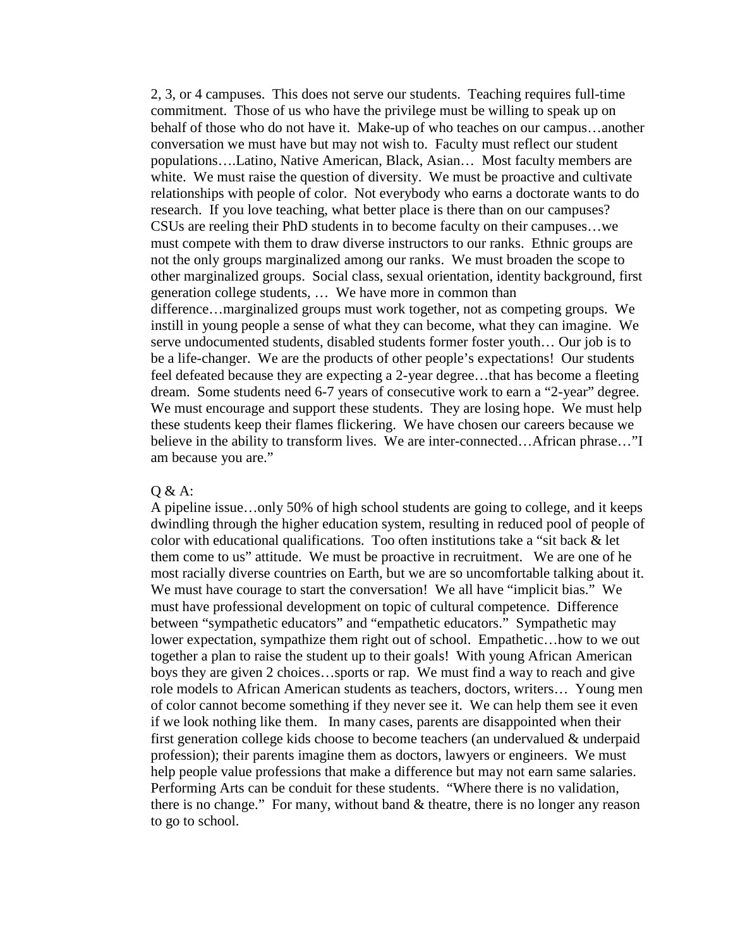2, 3, or 4 campuses. This does not serve our students. Teaching requires full-time commitment. Those of us who have the privilege must be willing to speak up on behalf of those who do not have it. Make-up of who teaches on our campus…another conversation we must have but may not wish to. Faculty must reflect our student populations….Latino, Native American, Black, Asian… Most faculty members are white. We must raise the question of diversity. We must be proactive and cultivate relationships with people of color. Not everybody who earns a doctorate wants to do research. If you love teaching, what better place is there than on our campuses? CSUs are reeling their PhD students in to become faculty on their campuses…we must compete with them to draw diverse instructors to our ranks. Ethnic groups are not the only groups marginalized among our ranks. We must broaden the scope to other marginalized groups. Social class, sexual orientation, identity background, first generation college students, … We have more in common than difference…marginalized groups must work together, not as competing groups. We instill in young people a sense of what they can become, what they can imagine. We serve undocumented students, disabled students former foster youth… Our job is to be a life-changer. We are the products of other people's expectations! Our students feel defeated because they are expecting a 2-year degree…that has become a fleeting dream. Some students need 6-7 years of consecutive work to earn a "2-year" degree. We must encourage and support these students. They are losing hope. We must help these students keep their flames flickering. We have chosen our careers because we believe in the ability to transform lives. We are inter-connected…African phrase…"I am because you are."

#### Q & A:

A pipeline issue…only 50% of high school students are going to college, and it keeps dwindling through the higher education system, resulting in reduced pool of people of color with educational qualifications. Too often institutions take a "sit back & let them come to us" attitude. We must be proactive in recruitment. We are one of he most racially diverse countries on Earth, but we are so uncomfortable talking about it. We must have courage to start the conversation! We all have "implicit bias." We must have professional development on topic of cultural competence. Difference between "sympathetic educators" and "empathetic educators." Sympathetic may lower expectation, sympathize them right out of school. Empathetic…how to we out together a plan to raise the student up to their goals! With young African American boys they are given 2 choices…sports or rap. We must find a way to reach and give role models to African American students as teachers, doctors, writers… Young men of color cannot become something if they never see it. We can help them see it even if we look nothing like them. In many cases, parents are disappointed when their first generation college kids choose to become teachers (an undervalued & underpaid profession); their parents imagine them as doctors, lawyers or engineers. We must help people value professions that make a difference but may not earn same salaries. Performing Arts can be conduit for these students. "Where there is no validation, there is no change." For many, without band & theatre, there is no longer any reason to go to school.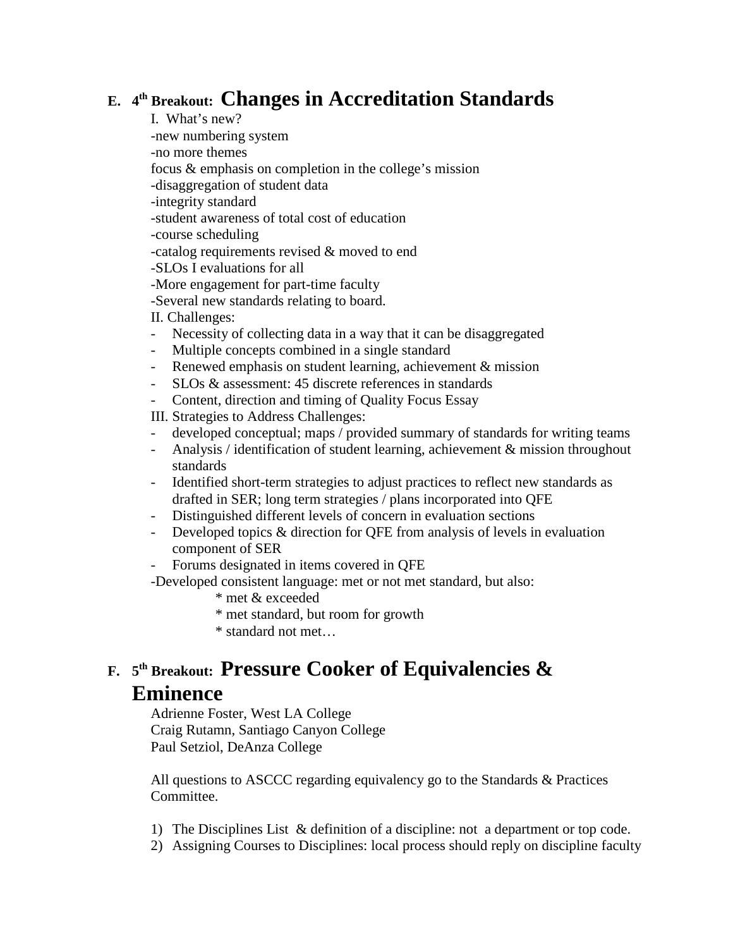## **E. 4th Breakout: Changes in Accreditation Standards**

I. What's new?

-new numbering system

-no more themes

focus & emphasis on completion in the college's mission

-disaggregation of student data

-integrity standard

-student awareness of total cost of education

-course scheduling

-catalog requirements revised & moved to end

-SLOs I evaluations for all

-More engagement for part-time faculty

-Several new standards relating to board.

II. Challenges:

- Necessity of collecting data in a way that it can be disaggregated
- Multiple concepts combined in a single standard
- Renewed emphasis on student learning, achievement & mission
- SLOs & assessment: 45 discrete references in standards
- Content, direction and timing of Quality Focus Essay

III. Strategies to Address Challenges:

- developed conceptual; maps / provided summary of standards for writing teams
- Analysis / identification of student learning, achievement & mission throughout standards
- Identified short-term strategies to adjust practices to reflect new standards as drafted in SER; long term strategies / plans incorporated into QFE
- Distinguished different levels of concern in evaluation sections
- Developed topics & direction for QFE from analysis of levels in evaluation component of SER
- Forums designated in items covered in QFE

-Developed consistent language: met or not met standard, but also:

- \* met & exceeded
- \* met standard, but room for growth
- \* standard not met…

## **F. <sup>5</sup>th Breakout: Pressure Cooker of Equivalencies & Eminence**

Adrienne Foster, West LA College Craig Rutamn, Santiago Canyon College Paul Setziol, DeAnza College

All questions to ASCCC regarding equivalency go to the Standards & Practices Committee.

- 1) The Disciplines List & definition of a discipline: not a department or top code.
- 2) Assigning Courses to Disciplines: local process should reply on discipline faculty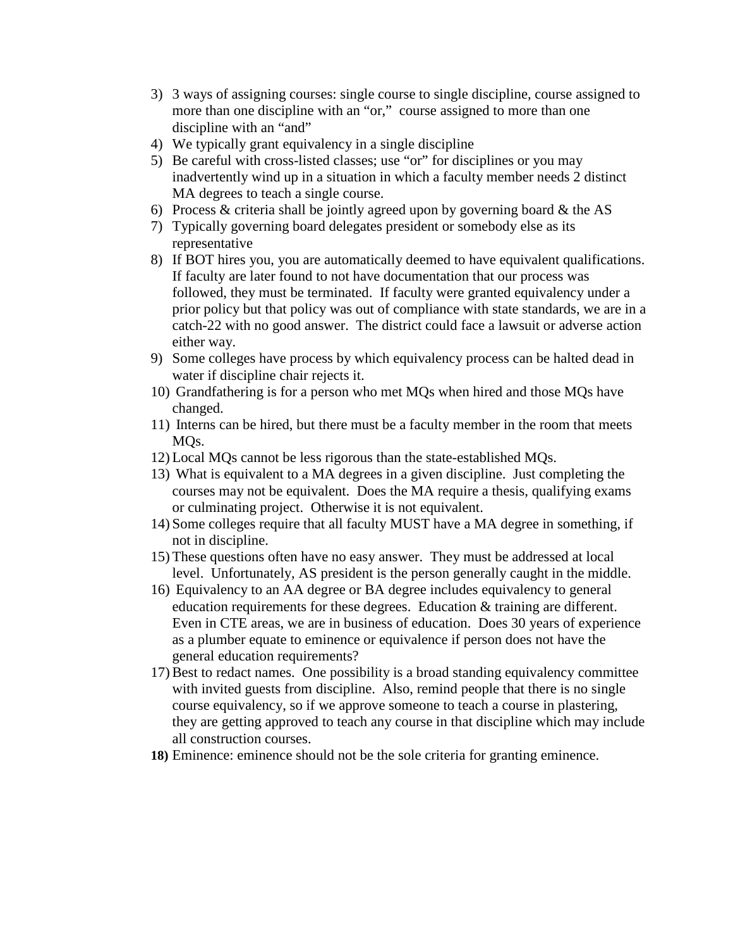- 3) 3 ways of assigning courses: single course to single discipline, course assigned to more than one discipline with an "or," course assigned to more than one discipline with an "and"
- 4) We typically grant equivalency in a single discipline
- 5) Be careful with cross-listed classes; use "or" for disciplines or you may inadvertently wind up in a situation in which a faculty member needs 2 distinct MA degrees to teach a single course.
- 6) Process & criteria shall be jointly agreed upon by governing board & the AS
- 7) Typically governing board delegates president or somebody else as its representative
- 8) If BOT hires you, you are automatically deemed to have equivalent qualifications. If faculty are later found to not have documentation that our process was followed, they must be terminated. If faculty were granted equivalency under a prior policy but that policy was out of compliance with state standards, we are in a catch-22 with no good answer. The district could face a lawsuit or adverse action either way.
- 9) Some colleges have process by which equivalency process can be halted dead in water if discipline chair rejects it.
- 10) Grandfathering is for a person who met MQs when hired and those MQs have changed.
- 11) Interns can be hired, but there must be a faculty member in the room that meets MQs.
- 12) Local MQs cannot be less rigorous than the state-established MQs.
- 13) What is equivalent to a MA degrees in a given discipline. Just completing the courses may not be equivalent. Does the MA require a thesis, qualifying exams or culminating project. Otherwise it is not equivalent.
- 14) Some colleges require that all faculty MUST have a MA degree in something, if not in discipline.
- 15) These questions often have no easy answer. They must be addressed at local level. Unfortunately, AS president is the person generally caught in the middle.
- 16) Equivalency to an AA degree or BA degree includes equivalency to general education requirements for these degrees. Education & training are different. Even in CTE areas, we are in business of education. Does 30 years of experience as a plumber equate to eminence or equivalence if person does not have the general education requirements?
- 17) Best to redact names. One possibility is a broad standing equivalency committee with invited guests from discipline. Also, remind people that there is no single course equivalency, so if we approve someone to teach a course in plastering, they are getting approved to teach any course in that discipline which may include all construction courses.
- **18)** Eminence: eminence should not be the sole criteria for granting eminence.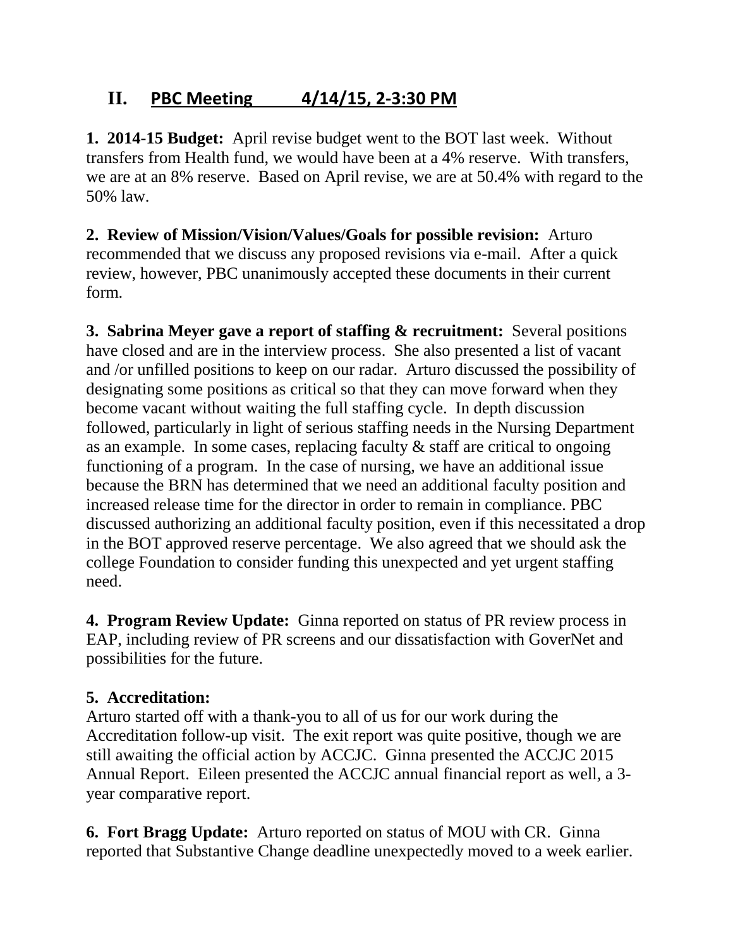## **II. PBC Meeting 4/14/15, 2-3:30 PM**

**1. 2014-15 Budget:** April revise budget went to the BOT last week. Without transfers from Health fund, we would have been at a 4% reserve. With transfers, we are at an 8% reserve. Based on April revise, we are at 50.4% with regard to the 50% law.

**2. Review of Mission/Vision/Values/Goals for possible revision:** Arturo recommended that we discuss any proposed revisions via e-mail. After a quick review, however, PBC unanimously accepted these documents in their current form.

**3. Sabrina Meyer gave a report of staffing & recruitment:** Several positions have closed and are in the interview process. She also presented a list of vacant and /or unfilled positions to keep on our radar. Arturo discussed the possibility of designating some positions as critical so that they can move forward when they become vacant without waiting the full staffing cycle. In depth discussion followed, particularly in light of serious staffing needs in the Nursing Department as an example. In some cases, replacing faculty & staff are critical to ongoing functioning of a program. In the case of nursing, we have an additional issue because the BRN has determined that we need an additional faculty position and increased release time for the director in order to remain in compliance. PBC discussed authorizing an additional faculty position, even if this necessitated a drop in the BOT approved reserve percentage. We also agreed that we should ask the college Foundation to consider funding this unexpected and yet urgent staffing need.

**4. Program Review Update:** Ginna reported on status of PR review process in EAP, including review of PR screens and our dissatisfaction with GoverNet and possibilities for the future.

## **5. Accreditation:**

Arturo started off with a thank-you to all of us for our work during the Accreditation follow-up visit. The exit report was quite positive, though we are still awaiting the official action by ACCJC. Ginna presented the ACCJC 2015 Annual Report. Eileen presented the ACCJC annual financial report as well, a 3 year comparative report.

**6. Fort Bragg Update:** Arturo reported on status of MOU with CR. Ginna reported that Substantive Change deadline unexpectedly moved to a week earlier.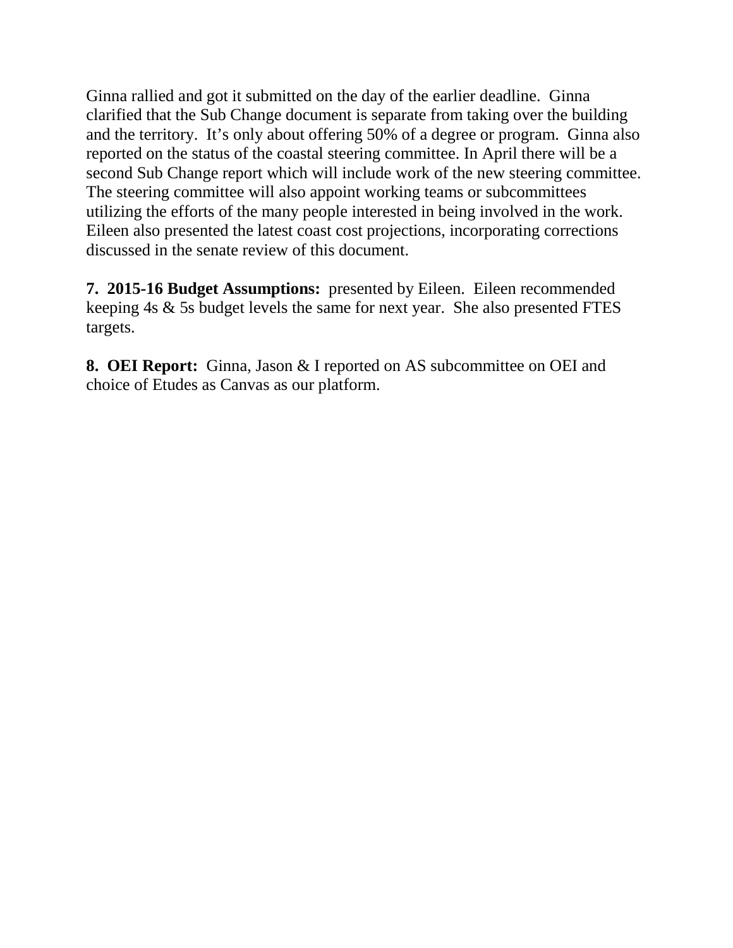Ginna rallied and got it submitted on the day of the earlier deadline. Ginna clarified that the Sub Change document is separate from taking over the building and the territory. It's only about offering 50% of a degree or program. Ginna also reported on the status of the coastal steering committee. In April there will be a second Sub Change report which will include work of the new steering committee. The steering committee will also appoint working teams or subcommittees utilizing the efforts of the many people interested in being involved in the work. Eileen also presented the latest coast cost projections, incorporating corrections discussed in the senate review of this document.

**7. 2015-16 Budget Assumptions:** presented by Eileen. Eileen recommended keeping 4s & 5s budget levels the same for next year. She also presented FTES targets.

**8. OEI Report:** Ginna, Jason & I reported on AS subcommittee on OEI and choice of Etudes as Canvas as our platform.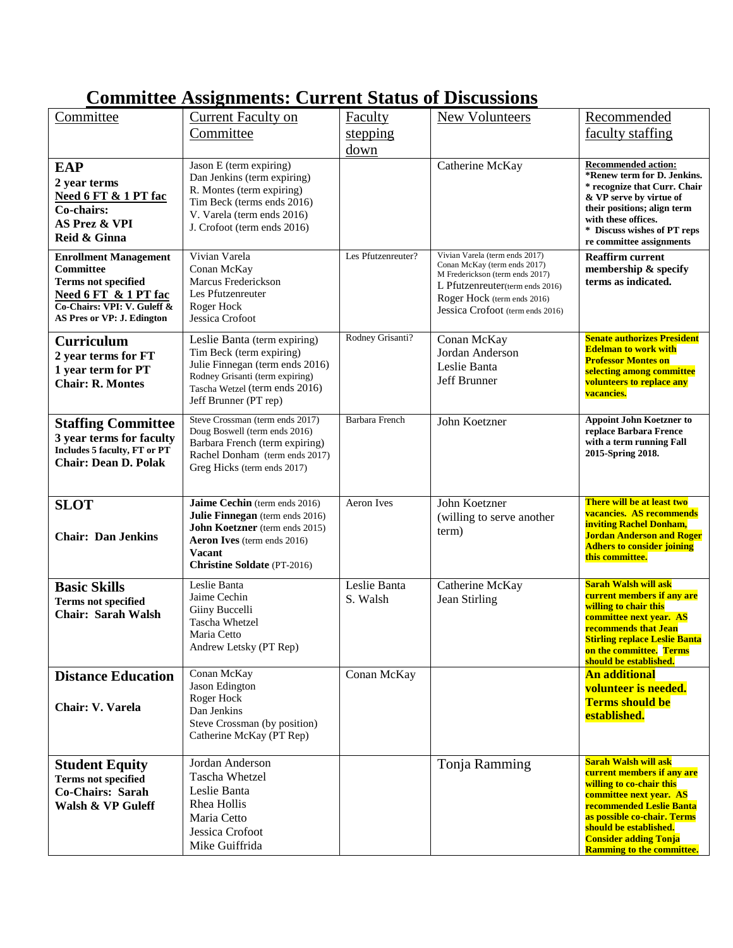## **Committee Assignments: Current Status of Discussions**

| Committee                                                                                                                                                    | <b>Current Faculty on</b>                                                                                                                                                                       | <b>Faculty</b>           | <b>New Volunteers</b>                                                                                                                                                                                   | Recommended                                                                                                                                                                                                                                                               |
|--------------------------------------------------------------------------------------------------------------------------------------------------------------|-------------------------------------------------------------------------------------------------------------------------------------------------------------------------------------------------|--------------------------|---------------------------------------------------------------------------------------------------------------------------------------------------------------------------------------------------------|---------------------------------------------------------------------------------------------------------------------------------------------------------------------------------------------------------------------------------------------------------------------------|
|                                                                                                                                                              | Committee                                                                                                                                                                                       | stepping                 |                                                                                                                                                                                                         | faculty staffing                                                                                                                                                                                                                                                          |
|                                                                                                                                                              |                                                                                                                                                                                                 | down                     |                                                                                                                                                                                                         |                                                                                                                                                                                                                                                                           |
| <b>EAP</b><br>2 year terms<br>Need 6 FT & 1 PT fac<br>Co-chairs:<br><b>AS Prez &amp; VPI</b><br>Reid & Ginna                                                 | Jason E (term expiring)<br>Dan Jenkins (term expiring)<br>R. Montes (term expiring)<br>Tim Beck (terms ends 2016)<br>V. Varela (term ends 2016)<br>J. Crofoot (term ends 2016)                  |                          | Catherine McKay                                                                                                                                                                                         | <b>Recommended action:</b><br>*Renew term for D. Jenkins.<br>* recognize that Curr. Chair<br>& VP serve by virtue of<br>their positions; align term<br>with these offices.<br>* Discuss wishes of PT reps<br>re committee assignments                                     |
| <b>Enrollment Management</b><br>Committee<br><b>Terms not specified</b><br>Need 6 FT & 1 PT fac<br>Co-Chairs: VPI: V. Guleff &<br>AS Pres or VP: J. Edington | Vivian Varela<br>Conan McKay<br>Marcus Frederickson<br>Les Pfutzenreuter<br>Roger Hock<br>Jessica Crofoot                                                                                       | Les Pfutzenreuter?       | Vivian Varela (term ends 2017)<br>Conan McKay (term ends 2017)<br>M Frederickson (term ends 2017)<br>L Pfutzenreuter(term ends 2016)<br>Roger Hock (term ends 2016)<br>Jessica Crofoot (term ends 2016) | <b>Reaffirm current</b><br>membership & specify<br>terms as indicated.                                                                                                                                                                                                    |
| <b>Curriculum</b><br>2 year terms for FT<br>1 year term for PT<br><b>Chair: R. Montes</b>                                                                    | Leslie Banta (term expiring)<br>Tim Beck (term expiring)<br>Julie Finnegan (term ends 2016)<br>Rodney Grisanti (term expiring)<br>Tascha Wetzel (term ends 2016)<br>Jeff Brunner (PT rep)       | Rodney Grisanti?         | Conan McKay<br>Jordan Anderson<br>Leslie Banta<br>Jeff Brunner                                                                                                                                          | <b>Senate authorizes President</b><br><b>Edelman to work with</b><br><b>Professor Montes on</b><br>selecting among committee<br>volunteers to replace any<br>vacancies.                                                                                                   |
| <b>Staffing Committee</b><br>3 year terms for faculty<br>Includes 5 faculty, FT or PT<br><b>Chair: Dean D. Polak</b>                                         | Steve Crossman (term ends 2017)<br>Doug Boswell (term ends 2016)<br>Barbara French (term expiring)<br>Rachel Donham (term ends 2017)<br>Greg Hicks (term ends 2017)                             | <b>Barbara French</b>    | John Koetzner                                                                                                                                                                                           | <b>Appoint John Koetzner to</b><br>replace Barbara Frence<br>with a term running Fall<br>2015-Spring 2018.                                                                                                                                                                |
| <b>SLOT</b><br><b>Chair: Dan Jenkins</b>                                                                                                                     | Jaime Cechin (term ends 2016)<br>Julie Finnegan (term ends 2016)<br>John Koetzner (term ends 2015)<br><b>Aeron Ives</b> (term ends 2016)<br><b>Vacant</b><br><b>Christine Soldate</b> (PT-2016) | <b>Aeron</b> Ives        | John Koetzner<br>(willing to serve another<br>term)                                                                                                                                                     | There will be at least two<br>vacancies. AS recommends<br><b>inviting Rachel Donham,</b><br><b>Jordan Anderson and Roger</b><br><b>Adhers to consider joining</b><br>this committee.                                                                                      |
| <b>Basic Skills</b><br><b>Terms not specified</b><br><b>Chair: Sarah Walsh</b>                                                                               | Leslie Banta<br>Jaime Cechin<br>Giiny Buccelli<br>Tascha Whetzel<br>Maria Cetto<br>Andrew Letsky (PT Rep)                                                                                       | Leslie Banta<br>S. Walsh | Catherine McKay<br>Jean Stirling                                                                                                                                                                        | Sarah Walsh will ask<br>current members if any are<br>willing to chair this<br>committee next year. AS<br>recommends that Jean<br><b>Stirling replace Leslie Banta</b><br>on the committee. Terms<br>should be established.                                               |
| <b>Distance Education</b><br>Chair: V. Varela                                                                                                                | Conan McKay<br>Jason Edington<br>Roger Hock<br>Dan Jenkins<br>Steve Crossman (by position)<br>Catherine McKay (PT Rep)                                                                          | Conan McKay              |                                                                                                                                                                                                         | <b>An additional</b><br>volunteer is needed.<br><b>Terms should be</b><br>established.                                                                                                                                                                                    |
| <b>Student Equity</b><br><b>Terms not specified</b><br>Co-Chairs: Sarah<br>Walsh & VP Guleff                                                                 | Jordan Anderson<br>Tascha Whetzel<br>Leslie Banta<br>Rhea Hollis<br>Maria Cetto<br>Jessica Crofoot<br>Mike Guiffrida                                                                            |                          | Tonja Ramming                                                                                                                                                                                           | <b>Sarah Walsh will ask</b><br>current members if any are<br>willing to co-chair this<br>committee next year. AS<br>recommended Leslie Banta<br>as possible co-chair. Terms<br>should be established.<br><b>Consider adding Tonja</b><br><b>Ramming to the committee.</b> |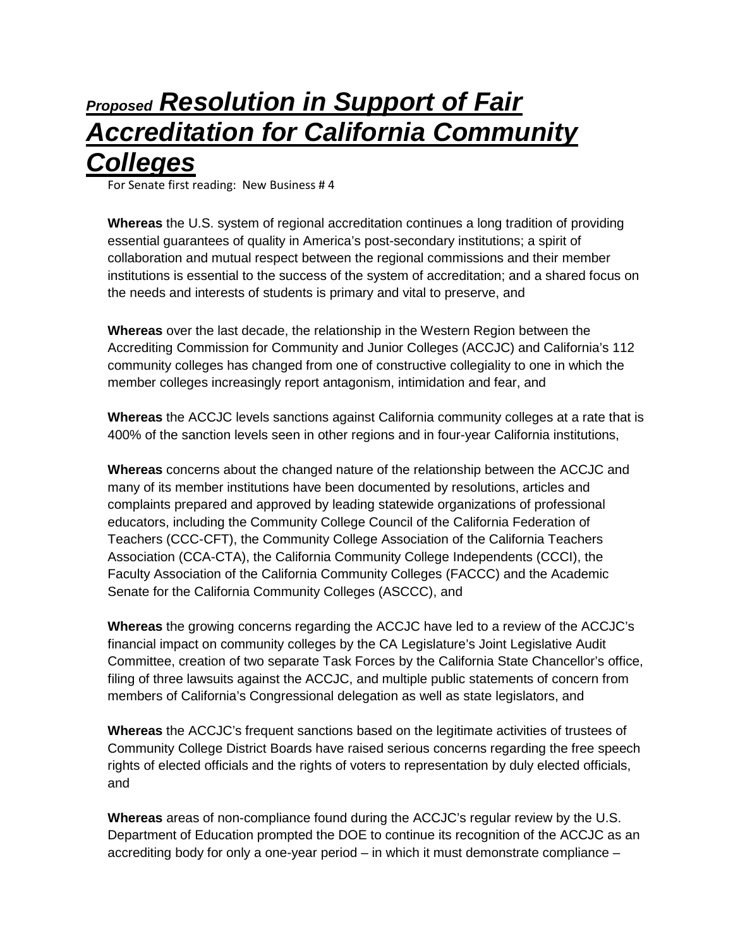# *Proposed Resolution in Support of Fair Accreditation for California Community Colleges*

For Senate first reading: New Business # 4

**Whereas** the U.S. system of regional accreditation continues a long tradition of providing essential guarantees of quality in America's post-secondary institutions; a spirit of collaboration and mutual respect between the regional commissions and their member institutions is essential to the success of the system of accreditation; and a shared focus on the needs and interests of students is primary and vital to preserve, and

**Whereas** over the last decade, the relationship in the Western Region between the Accrediting Commission for Community and Junior Colleges (ACCJC) and California's 112 community colleges has changed from one of constructive collegiality to one in which the member colleges increasingly report antagonism, intimidation and fear, and

**Whereas** the ACCJC levels sanctions against California community colleges at a rate that is 400% of the sanction levels seen in other regions and in four-year California institutions,

**Whereas** concerns about the changed nature of the relationship between the ACCJC and many of its member institutions have been documented by resolutions, articles and complaints prepared and approved by leading statewide organizations of professional educators, including the Community College Council of the California Federation of Teachers (CCC-CFT), the Community College Association of the California Teachers Association (CCA-CTA), the California Community College Independents (CCCI), the Faculty Association of the California Community Colleges (FACCC) and the Academic Senate for the California Community Colleges (ASCCC), and

**Whereas** the growing concerns regarding the ACCJC have led to a review of the ACCJC's financial impact on community colleges by the CA Legislature's Joint Legislative Audit Committee, creation of two separate Task Forces by the California State Chancellor's office, filing of three lawsuits against the ACCJC, and multiple public statements of concern from members of California's Congressional delegation as well as state legislators, and

**Whereas** the ACCJC's frequent sanctions based on the legitimate activities of trustees of Community College District Boards have raised serious concerns regarding the free speech rights of elected officials and the rights of voters to representation by duly elected officials, and

**Whereas** areas of non-compliance found during the ACCJC's regular review by the U.S. Department of Education prompted the DOE to continue its recognition of the ACCJC as an accrediting body for only a one-year period – in which it must demonstrate compliance –